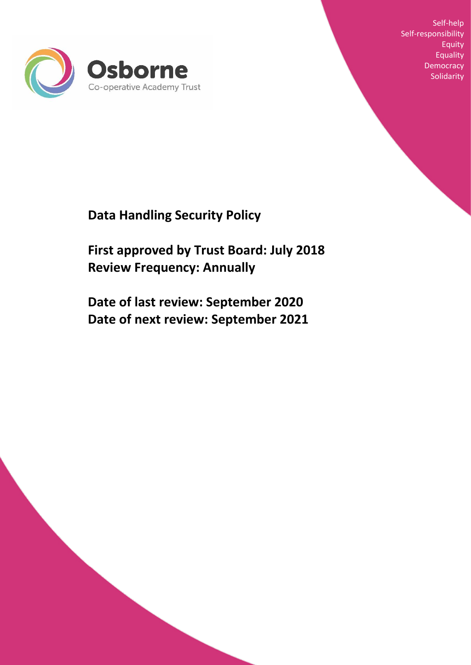

Self-help Self-responsibility Equity Equality **Democracy** Solidarity

**Data Handling Security Policy** 

**First approved by Trust Board: July 2018 Review Frequency: Annually**

**Date of last review: September 2020 Date of next review: September 2021**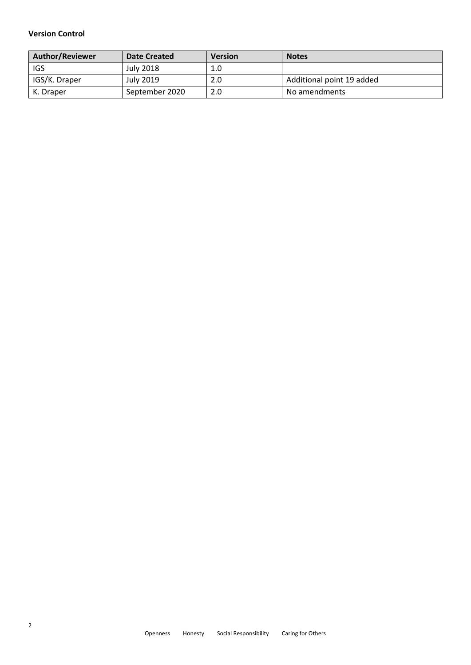#### **Version Control**

| <b>Author/Reviewer</b> | Date Created     | <b>Version</b> | <b>Notes</b>              |
|------------------------|------------------|----------------|---------------------------|
| IGS                    | <b>July 2018</b> | 1.0            |                           |
| IGS/K. Draper          | July 2019        | 2.0            | Additional point 19 added |
| K. Draper              | September 2020   | 2.0            | No amendments             |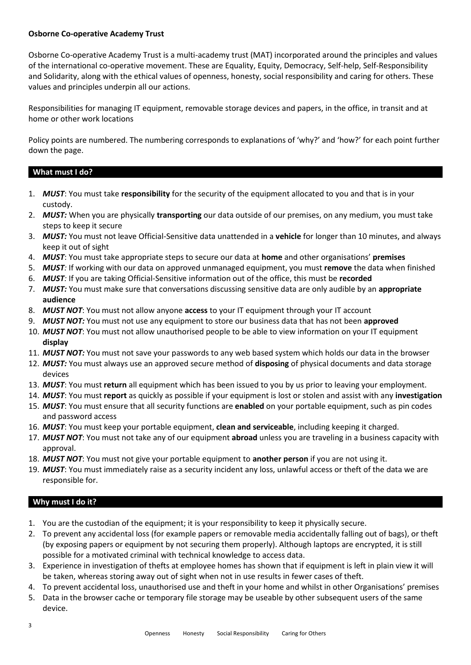#### **Osborne Co-operative Academy Trust**

Osborne Co-operative Academy Trust is a multi-academy trust (MAT) incorporated around the principles and values of the international co-operative movement. These are Equality, Equity, Democracy, Self-help, Self-Responsibility and Solidarity, along with the ethical values of openness, honesty, social responsibility and caring for others. These values and principles underpin all our actions.

Responsibilities for managing IT equipment, removable storage devices and papers, in the office, in transit and at home or other work locations

Policy points are numbered. The numbering corresponds to explanations of 'why?' and 'how?' for each point further down the page.

## **What must I do?**

- 1. *MUST*: You must take **responsibility** for the security of the equipment allocated to you and that is in your custody.
- 2. *MUST:* When you are physically **transporting** our data outside of our premises, on any medium, you must take steps to keep it secure
- 3. *MUST:* You must not leave Official-Sensitive data unattended in a **vehicle** for longer than 10 minutes, and always keep it out of sight
- 4. *MUST*: You must take appropriate steps to secure our data at **home** and other organisations' **premises**
- 5. *MUST:* If working with our data on approved unmanaged equipment, you must **remove** the data when finished
- 6. *MUST:* If you are taking Official-Sensitive information out of the office, this must be **recorded**
- 7. *MUST:* You must make sure that conversations discussing sensitive data are only audible by an **appropriate audience**
- 8. *MUST NOT*: You must not allow anyone **access** to your IT equipment through your IT account
- 9. *MUST NOT:* You must not use any equipment to store our business data that has not been **approved**
- 10. *MUST NOT*: You must not allow unauthorised people to be able to view information on your IT equipment **display**
- 11. *MUST NOT:* You must not save your passwords to any web based system which holds our data in the browser
- 12. *MUST:* You must always use an approved secure method of **disposing** of physical documents and data storage devices
- 13. *MUST*: You must **return** all equipment which has been issued to you by us prior to leaving your employment.
- 14. *MUST*: You must **report** as quickly as possible if your equipment is lost or stolen and assist with any **investigation**
- 15. *MUST*: You must ensure that all security functions are **enabled** on your portable equipment, such as pin codes and password access
- 16. *MUST*: You must keep your portable equipment, **clean and serviceable**, including keeping it charged.
- 17. *MUST NOT*: You must not take any of our equipment **abroad** unless you are traveling in a business capacity with approval.
- 18. *MUST NOT*: You must not give your portable equipment to **another person** if you are not using it.
- 19. *MUST*: You must immediately raise as a security incident any loss, unlawful access or theft of the data we are responsible for.

## **Why must I do it?**

- 1. You are the custodian of the equipment; it is your responsibility to keep it physically secure.
- 2. To prevent any accidental loss (for example papers or removable media accidentally falling out of bags), or theft (by exposing papers or equipment by not securing them properly). Although laptops are encrypted, it is still possible for a motivated criminal with technical knowledge to access data.
- 3. Experience in investigation of thefts at employee homes has shown that if equipment is left in plain view it will be taken, whereas storing away out of sight when not in use results in fewer cases of theft.
- 4. To prevent accidental loss, unauthorised use and theft in your home and whilst in other Organisations' premises
- 5. Data in the browser cache or temporary file storage may be useable by other subsequent users of the same device.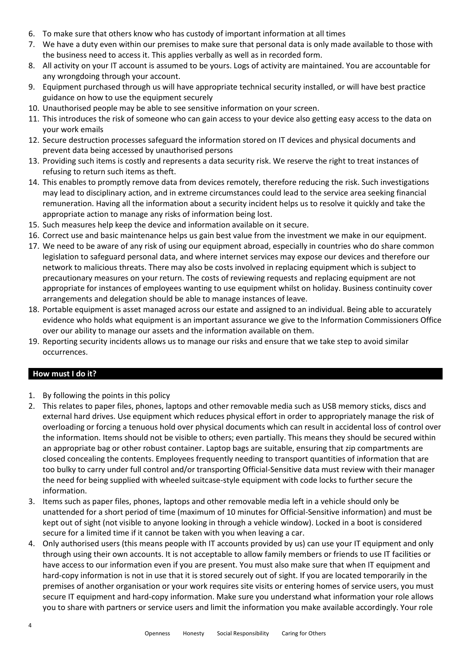- 6. To make sure that others know who has custody of important information at all times
- 7. We have a duty even within our premises to make sure that personal data is only made available to those with the business need to access it. This applies verbally as well as in recorded form.
- 8. All activity on your IT account is assumed to be yours. Logs of activity are maintained. You are accountable for any wrongdoing through your account.
- 9. Equipment purchased through us will have appropriate technical security installed, or will have best practice guidance on how to use the equipment securely
- 10. Unauthorised people may be able to see sensitive information on your screen.
- 11. This introduces the risk of someone who can gain access to your device also getting easy access to the data on your work emails
- 12. Secure destruction processes safeguard the information stored on IT devices and physical documents and prevent data being accessed by unauthorised persons
- 13. Providing such items is costly and represents a data security risk. We reserve the right to treat instances of refusing to return such items as theft.
- 14. This enables to promptly remove data from devices remotely, therefore reducing the risk. Such investigations may lead to disciplinary action, and in extreme circumstances could lead to the service area seeking financial remuneration. Having all the information about a security incident helps us to resolve it quickly and take the appropriate action to manage any risks of information being lost.
- 15. Such measures help keep the device and information available on it secure.
- 16. Correct use and basic maintenance helps us gain best value from the investment we make in our equipment.
- 17. We need to be aware of any risk of using our equipment abroad, especially in countries who do share common legislation to safeguard personal data, and where internet services may expose our devices and therefore our network to malicious threats. There may also be costs involved in replacing equipment which is subject to precautionary measures on your return. The costs of reviewing requests and replacing equipment are not appropriate for instances of employees wanting to use equipment whilst on holiday. Business continuity cover arrangements and delegation should be able to manage instances of leave.
- 18. Portable equipment is asset managed across our estate and assigned to an individual. Being able to accurately evidence who holds what equipment is an important assurance we give to the Information Commissioners Office over our ability to manage our assets and the information available on them.
- 19. Reporting security incidents allows us to manage our risks and ensure that we take step to avoid similar occurrences.

## **How must I do it?**

- 1. By following the points in this policy
- 2. This relates to paper files, phones, laptops and other removable media such as USB memory sticks, discs and external hard drives. Use equipment which reduces physical effort in order to appropriately manage the risk of overloading or forcing a tenuous hold over physical documents which can result in accidental loss of control over the information. Items should not be visible to others; even partially. This means they should be secured within an appropriate bag or other robust container. Laptop bags are suitable, ensuring that zip compartments are closed concealing the contents. Employees frequently needing to transport quantities of information that are too bulky to carry under full control and/or transporting Official-Sensitive data must review with their manager the need for being supplied with wheeled suitcase-style equipment with code locks to further secure the information.
- 3. Items such as paper files, phones, laptops and other removable media left in a vehicle should only be unattended for a short period of time (maximum of 10 minutes for Official-Sensitive information) and must be kept out of sight (not visible to anyone looking in through a vehicle window). Locked in a boot is considered secure for a limited time if it cannot be taken with you when leaving a car.
- 4. Only authorised users (this means people with IT accounts provided by us) can use your IT equipment and only through using their own accounts. It is not acceptable to allow family members or friends to use IT facilities or have access to our information even if you are present. You must also make sure that when IT equipment and hard-copy information is not in use that it is stored securely out of sight. If you are located temporarily in the premises of another organisation or your work requires site visits or entering homes of service users, you must secure IT equipment and hard-copy information. Make sure you understand what information your role allows you to share with partners or service users and limit the information you make available accordingly. Your role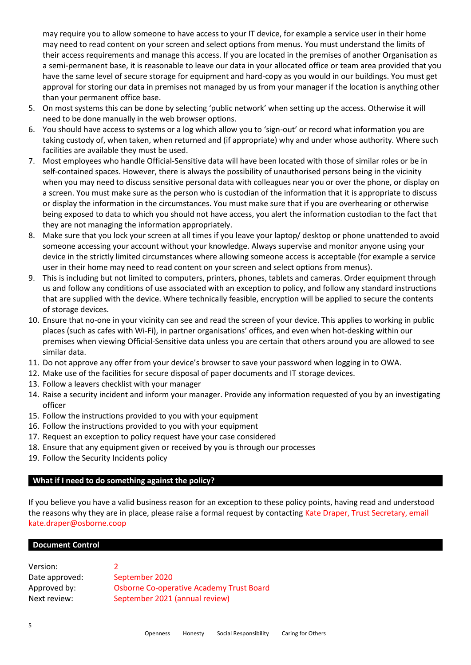may require you to allow someone to have access to your IT device, for example a service user in their home may need to read content on your screen and select options from menus. You must understand the limits of their access requirements and manage this access. If you are located in the premises of another Organisation as a semi-permanent base, it is reasonable to leave our data in your allocated office or team area provided that you have the same level of secure storage for equipment and hard-copy as you would in our buildings. You must get approval for storing our data in premises not managed by us from your manager if the location is anything other than your permanent office base.

- 5. On most systems this can be done by selecting 'public network' when setting up the access. Otherwise it will need to be done manually in the web browser options.
- 6. You should have access to systems or a log which allow you to 'sign-out' or record what information you are taking custody of, when taken, when returned and (if appropriate) why and under whose authority. Where such facilities are available they must be used.
- 7. Most employees who handle Official-Sensitive data will have been located with those of similar roles or be in self-contained spaces. However, there is always the possibility of unauthorised persons being in the vicinity when you may need to discuss sensitive personal data with colleagues near you or over the phone, or display on a screen. You must make sure as the person who is custodian of the information that it is appropriate to discuss or display the information in the circumstances. You must make sure that if you are overhearing or otherwise being exposed to data to which you should not have access, you alert the information custodian to the fact that they are not managing the information appropriately.
- 8. Make sure that you lock your screen at all times if you leave your laptop/ desktop or phone unattended to avoid someone accessing your account without your knowledge. Always supervise and monitor anyone using your device in the strictly limited circumstances where allowing someone access is acceptable (for example a service user in their home may need to read content on your screen and select options from menus).
- 9. This is including but not limited to computers, printers, phones, tablets and cameras. Order equipment through us and follow any conditions of use associated with an exception to policy, and follow any standard instructions that are supplied with the device. Where technically feasible, encryption will be applied to secure the contents of storage devices.
- 10. Ensure that no-one in your vicinity can see and read the screen of your device. This applies to working in public places (such as cafes with Wi-Fi), in partner organisations' offices, and even when hot-desking within our premises when viewing Official-Sensitive data unless you are certain that others around you are allowed to see similar data.
- 11. Do not approve any offer from your device's browser to save your password when logging in to OWA.
- 12. Make use of the facilities for secure disposal of paper documents and IT storage devices.
- 13. Follow a leavers checklist with your manager
- 14. Raise a security incident and inform your manager. Provide any information requested of you by an investigating officer
- 15. Follow the instructions provided to you with your equipment
- 16. Follow the instructions provided to you with your equipment
- 17. Request an exception to policy request have your case considered
- 18. Ensure that any equipment given or received by you is through our processes
- 19. Follow the Security Incidents policy

## **What if I need to do something against the policy?**

If you believe you have a valid business reason for an exception to these policy points, having read and understood the reasons why they are in place, please raise a formal request by contacting Kate Draper, Trust Secretary, email kate.draper@osborne.coop

#### **Document Control**

| Version:       |                                                 |  |
|----------------|-------------------------------------------------|--|
| Date approved: | September 2020                                  |  |
| Approved by:   | <b>Osborne Co-operative Academy Trust Board</b> |  |
| Next review:   | September 2021 (annual review)                  |  |